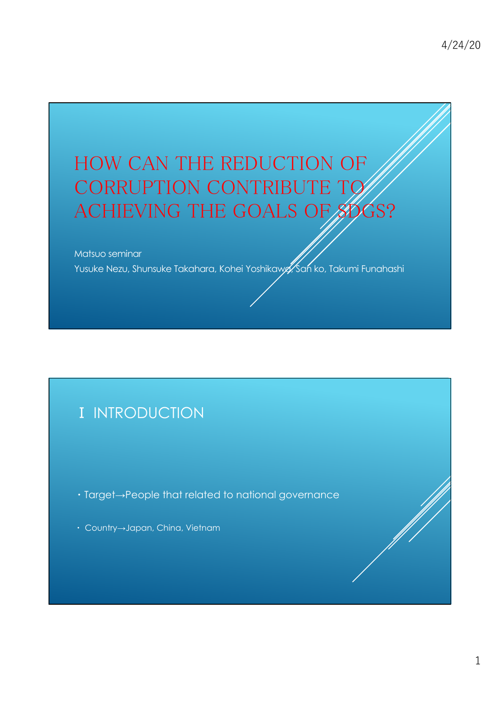# HOW CAN THE REDUCTION OF CORRUPTION CONTRIBUTE TO ACHIEVING THE GOALS OF SOGS?

Matsuo seminar

Yusuke Nezu, Shunsuke Takahara, Kohei Yoshikawa, San ko, Takumi Funahashi

## I INTRODUCTION

Target→People that related to national governance

Country→Japan, China, Vietnam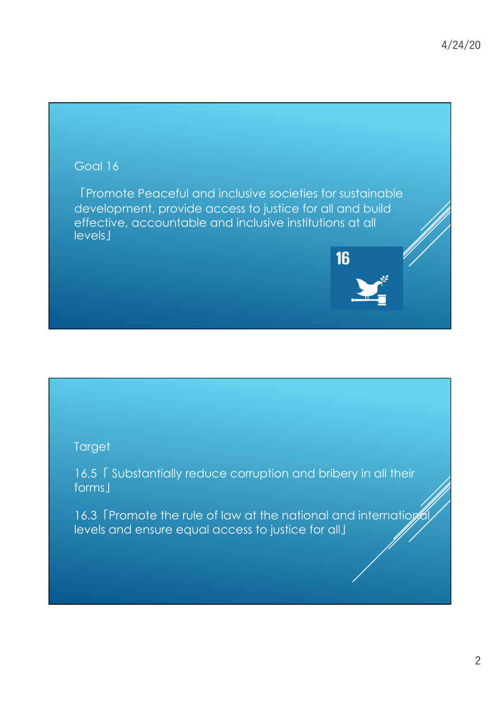#### Goal 16

Promote Peaceful and inclusive societies for sustainable development, provide access to justice for all and build effective, accountable and inclusive institutions at all levels<sup>1</sup>

16

#### **Target**

16.5 Substantially reduce corruption and bribery in all their forms I

16.3 Fromote the rule of law at the national and internation levels and ensure equal access to justice for all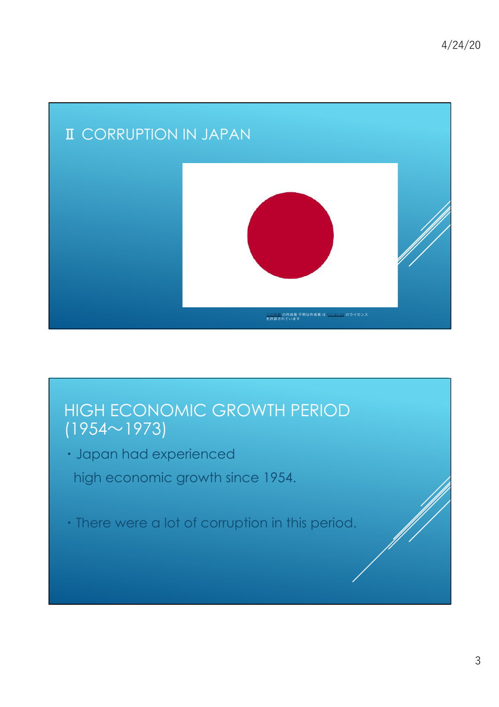

# HIGH ECONOMIC GROWTH PERIOD  $(1954 \sim 1973)$

- Japan had experienced high economic growth since 1954.
- There were a lot of corruption in this period.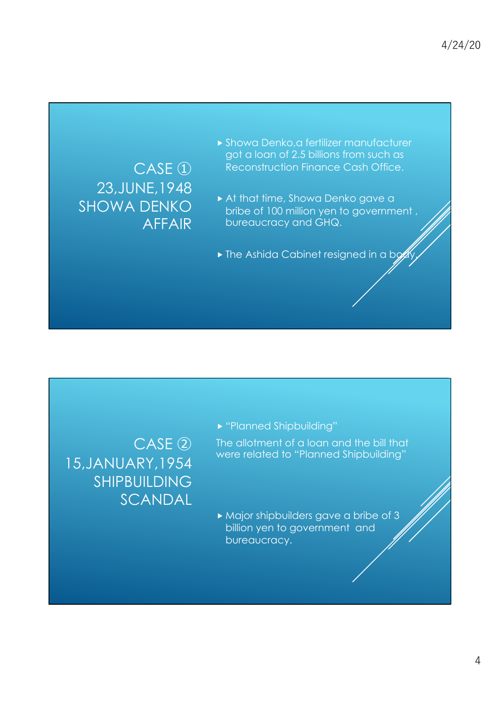## CASE<sup>(1)</sup> 23,JUNE,1948 SHOWA DENKO AFFAIR

- Showa Denko,a fertilizer manufacturer got a loan of 2.5 billions from such as Reconstruction Finance Cash Office.
- At that time, Showa Denko gave a bribe of 100 million yen to government , bureaucracy and GHQ.
- $\blacktriangleright$  The Ashida Cabinet resigned in a bg

 $CASE(2)$ 15,JANUARY,1954 SHIPBUILDING SCANDAL "Planned Shipbuilding"

The allotment of a loan and the bill that were related to "Planned Shipbuilding"

 Major shipbuilders gave a bribe of 3 billion yen to government and bureaucracy.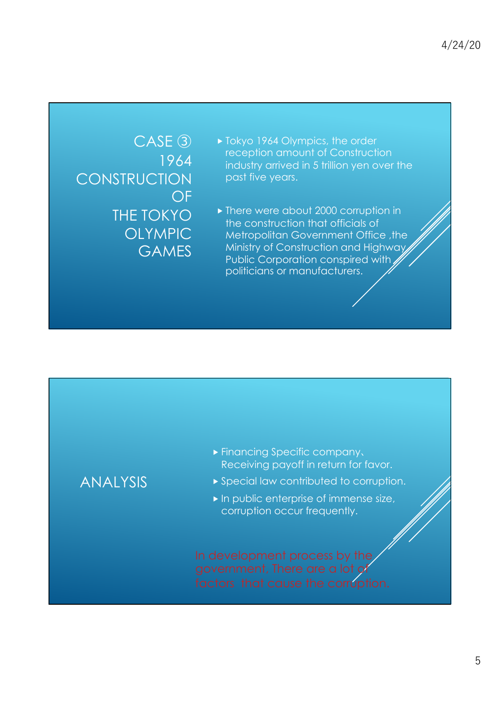$CASE$  $(3)$ 1964 **CONSTRUCTION** OF THE TOKYO OLYMPIC **GAMES** 

- ▶ Tokyo 1964 Olympics, the order reception amount of Construction industry arrived in 5 trillion yen over the past five years.
- ▶ There were about 2000 corruption in the construction that officials of Metropolitan Government Office, the Ministry of Construction and Highway Public Corporation conspired with politicians or manufacturers.

### ANALYSIS

- **Financing Specific company,** Receiving payoff in return for favor.
- Special law contributed to corruption.
- $\blacktriangleright$  In public enterprise of immense size, corruption occur frequently.

In development process by the government, There are a lot of factors that cause the corruption.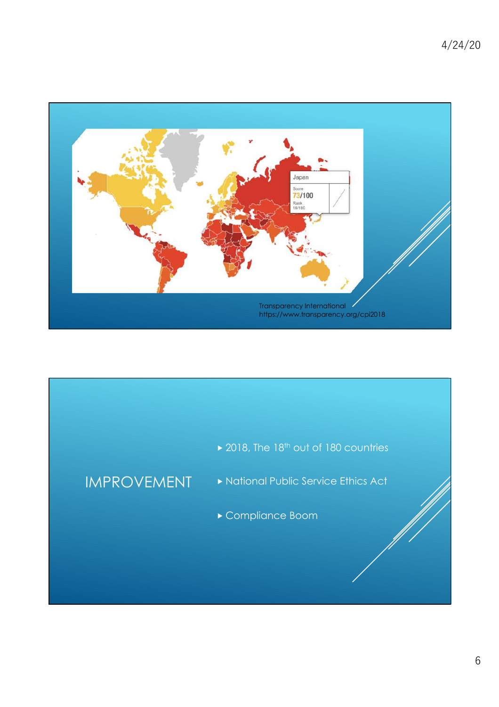

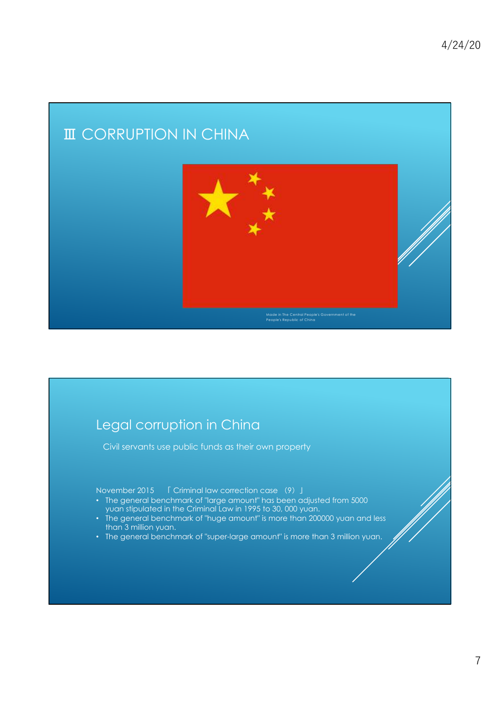## **III** CORRUPTION IN CHINA



#### Legal corruption in China

Civil servants use public funds as their own property

November 2015 Criminal law correction case 9--

- The general benchmark of "large amount" has been adjusted from 5000 yuan stipulated in the Criminal Law in 1995 to 30, 000 yuan.
- The general benchmark of "huge amount" is more than 200000 yuan and less than 3 million yuan.
- The general benchmark of "super-large amount" is more than 3 million yuan.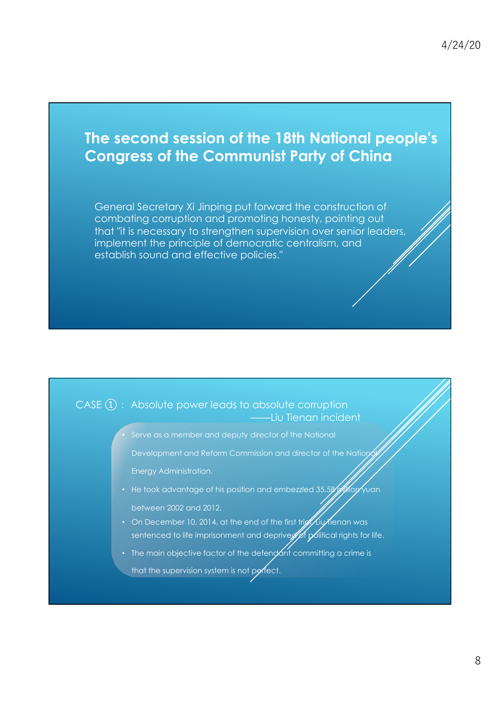## **The second session of the 18th National people's Congress of the Communist Party of China**

General Secretary Xi Jinping put forward the construction of combating corruption and promoting honesty, pointing out that "it is necessary to strengthen supervision over senior leaders, implement the principle of democratic centralism, and establish sound and effective policies."

#### $CASE (1) : Absolute power leads to absolute corruption$ ——Liu Tienan incident

Serve as a member and deputy director of the National

Development and Reform Commission and director of the Nation

Energy Administration.

- He took advantage of his position and embezzled 35.58 Million yuan between 2002 and 2012.
- On December 10, 2014, at the end of the first trightling tenan was sentenced to life imprisonment and depriver of political rights for life.
- The main objective factor of the defendant committing a crime is

that the supervision system is not perfect.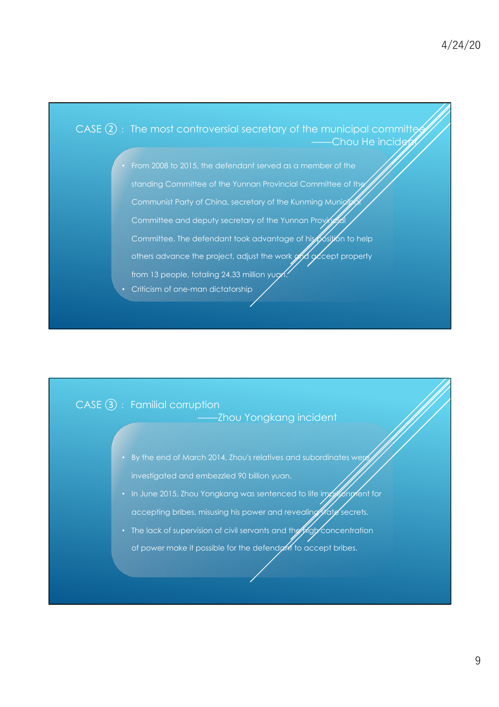

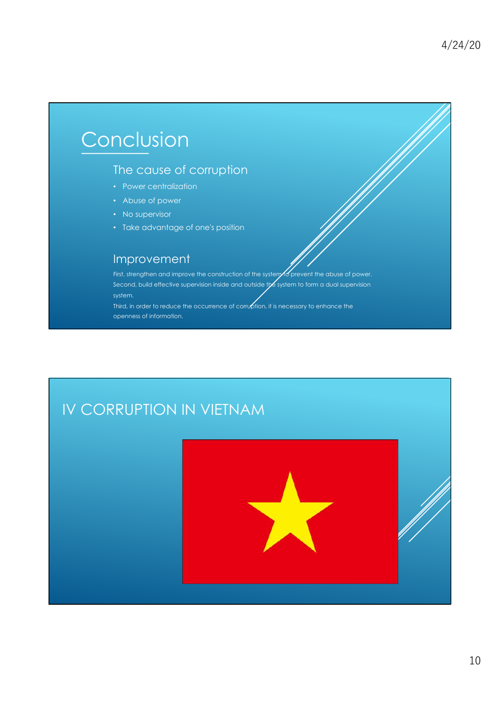# Conclusion

#### The cause of corruption

- Power centralization
- Abuse of power
- No supervisor
- Take advantage of one's position

#### Improvement

First, strengthen and improve the construction of the system of prevent the abuse of power. Second, build effective supervision inside and outside the system to form a dual supervision system.

Third, in order to reduce the occurrence of corruption, it is necessary to enhance the openness of information.

# IV CORRUPTION IN VIETNAM

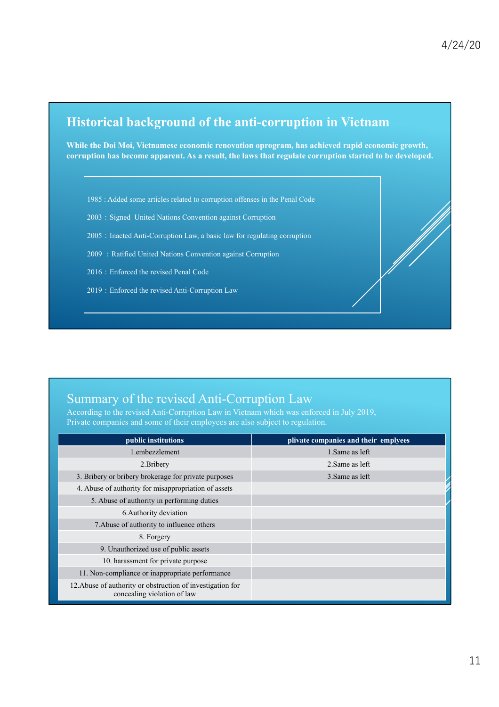#### **Historical background of the anti-corruption in Vietnam**

**While the Doi Moi, Vietnamese economic renovation oprogram, has achieved rapid economic growth, corruption has become apparent. As a result, the laws that regulate corruption started to be developed.**

1985 : Added some articles related to corruption offenses in the Penal Code

2003 : Signed United Nations Convention against Corruption

2005: Inacted Anti-Corruption Law, a basic law for regulating corruption

2009 : Ratified United Nations Convention against Corruption

2016: Enforced the revised Penal Code

2019: Enforced the revised Anti-Corruption Law

#### Summary of the revised Anti-Corruption Law

According to the revised Anti-Corruption Law in Vietnam which was enforced in July 2019, Private companies and some of their employees are also subject to regulation.

| public institutions                                                                       | plivate companies and their emplyees |
|-------------------------------------------------------------------------------------------|--------------------------------------|
| 1.embezzlement                                                                            | 1. Same as left                      |
| 2. Bribery                                                                                | 2. Same as left                      |
| 3. Bribery or bribery brokerage for private purposes                                      | 3. Same as left                      |
| 4. Abuse of authority for misappropriation of assets                                      |                                      |
| 5. Abuse of authority in performing duties                                                |                                      |
| 6. Authority deviation                                                                    |                                      |
| 7. Abuse of authority to influence others                                                 |                                      |
| 8. Forgery                                                                                |                                      |
| 9. Unauthorized use of public assets                                                      |                                      |
| 10. harassment for private purpose                                                        |                                      |
| 11. Non-compliance or inappropriate performance                                           |                                      |
| 12. Abuse of authority or obstruction of investigation for<br>concealing violation of law |                                      |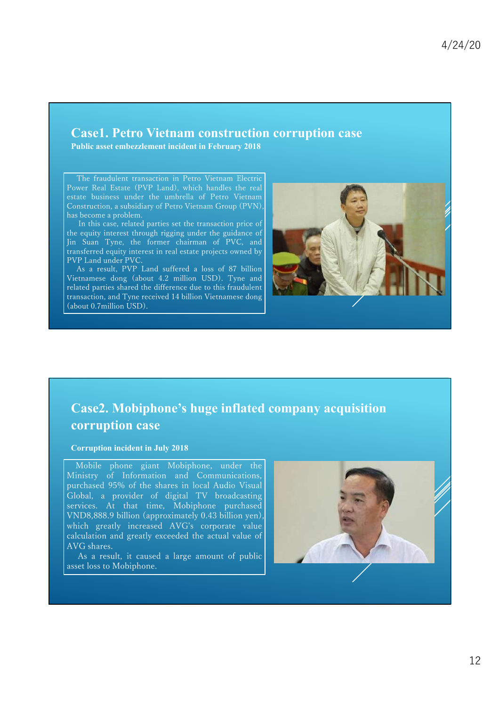#### **Case1. Petro Vietnam construction corruption case**

**Public asset embezzlement incident in February 2018**

The fraudulent transaction in Petro Vietnam Electric Power Real Estate (PVP Land), which handles the real estate business under the umbrella of Petro Vietnam Construction, a subsidiary of Petro Vietnam Group (PVN), has become a problem.

In this case, related parties set the transaction price of the equity interest through rigging under the guidance of Jin Suan Tyne, the former chairman of PVC, and transferred equity interest in real estate projects owned by PVP Land under PVC.

As a result, PVP Land suffered a loss of 87 billion Vietnamese dong (about 4.2 million USD). Tyne and related parties shared the difference due to this fraudulent transaction, and Tyne received 14 billion Vietnamese dong (about 0.7 million USD).



#### **Case2. Mobiphone's huge inflated company acquisition corruption case**

#### **Corruption incident in July 2018**

Mobile phone giant Mobiphone, under the Ministry of Information and Communications, purchased 95% of the shares in local Audio Visual Global, a provider of digital TV broadcasting services. At that time, Mobiphone purchased VND8,888.9 billion (approximately 0.43 billion yen), which greatly increased AVG's corporate value calculation and greatly exceeded the actual value of AVG shares.

As a result, it caused a large amount of public asset loss to Mobiphone.

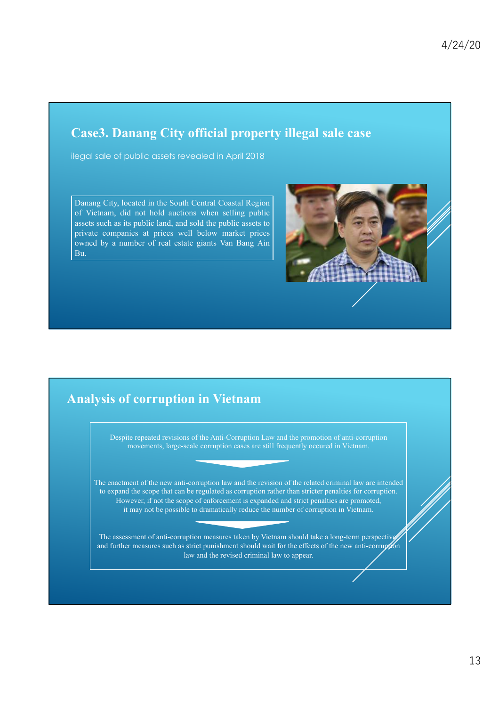#### **Case3. Danang City official property illegal sale case**

ilegal sale of public assets revealed in April 2018

Danang City, located in the South Central Coastal Region of Vietnam, did not hold auctions when selling public assets such as its public land, and sold the public assets to private companies at prices well below market prices owned by a number of real estate giants Van Bang Ain Bu.



#### **Analysis of corruption in Vietnam**

Despite repeated revisions of the Anti-Corruption Law and the promotion of anti-corruption movements, large-scale corruption cases are still frequently occured in Vietnam.

The enactment of the new anti-corruption law and the revision of the related criminal law are intended to expand the scope that can be regulated as corruption rather than stricter penalties for corruption. However, if not the scope of enforcement is expanded and strict penalties are promoted, it may not be possible to dramatically reduce the number of corruption in Vietnam.

The assessment of anti-corruption measures taken by Vietnam should take a long-term perspective and further measures such as strict punishment should wait for the effects of the new anti-corruption law and the revised criminal law to appear.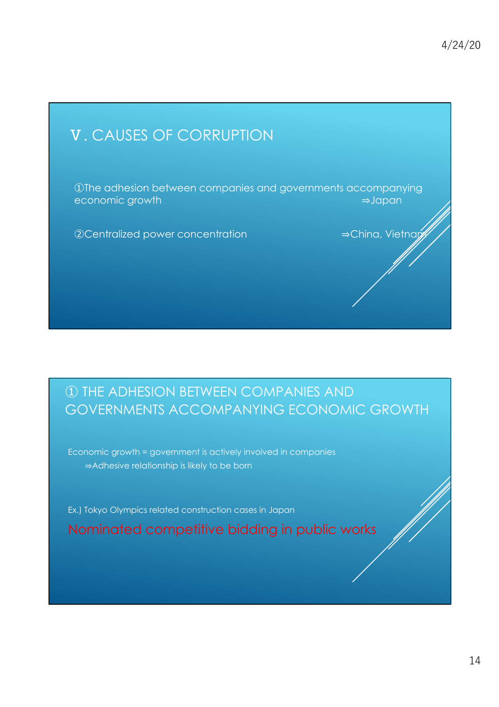# . CAUSES OF CORRUPTION The adhesion between companies and governments accompanying economic growth ⇒Japan ②Centralized power concentration ⇒China, Vietnam

### - THE ADHESION BETWEEN COMPANIES AND GOVERNMENTS ACCOMPANYING ECONOMIC GROWTH

Economic growth = government is actively involved in companies ⇒Adhesive relationship is likely to be born

Ex.) Tokyo Olympics related construction cases in Japan

Nominated competitive bidding in public works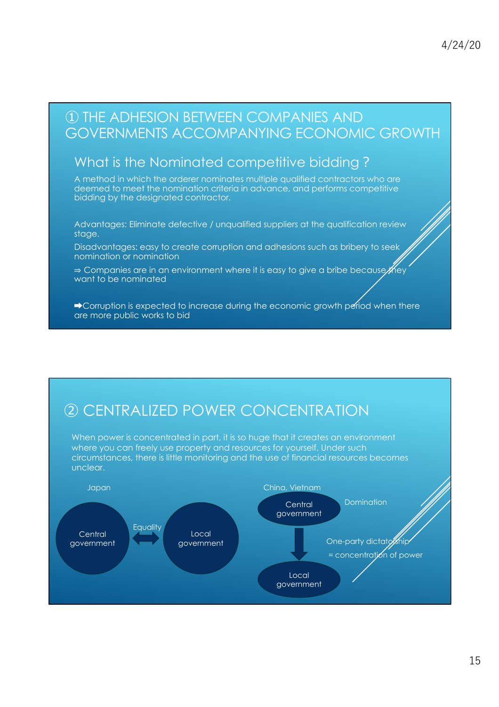#### THE ADHESION BETWEEN COMPANIES AND GOVERNMENTS ACCOMPANYING ECONOMIC GROWTH

#### What is the Nominated competitive bidding?

A method in which the orderer nominates multiple qualified contractors who are deemed to meet the nomination criteria in advance, and performs competitive bidding by the designated contractor.

Advantages: Eliminate defective / unqualified suppliers at the qualification review stage.

Disadvantages: easy to create corruption and adhesions such as bribery to seek nomination or nomination

⇒ Companies are in an environment where it is easy to give a bribe because *KH*ey want to be nominated

**→ Corruption is expected to increase during the economic growth period when there** are more public works to bid

## **(2) CENTRALIZED POWER CONCENTRATION**

When power is concentrated in part, it is so huge that it creates an environment where you can freely use property and resources for yourself. Under such circumstances, there is little monitoring and the use of financial resources becomes unclear.